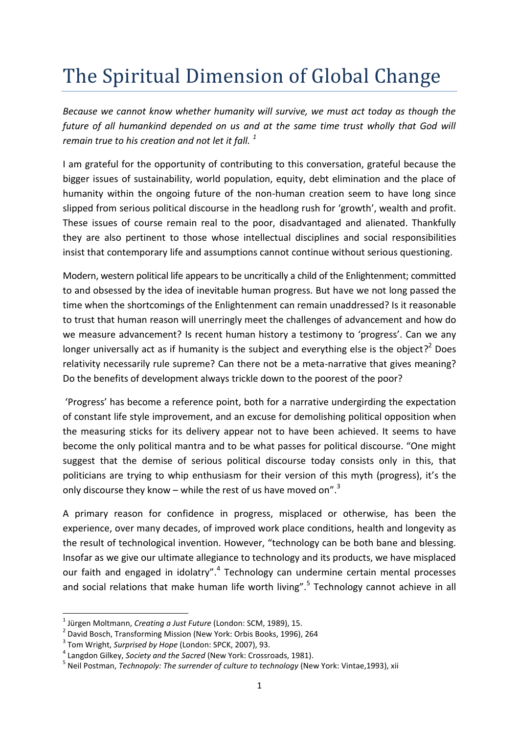## The Spiritual Dimension of Global Change

*Because we cannot know whether humanity will survive, we must act today as though the future of all humankind depended on us and at the same time trust wholly that God will remain true to his creation and not let it fall. <sup>1</sup>*

I am grateful for the opportunity of contributing to this conversation, grateful because the bigger issues of sustainability, world population, equity, debt elimination and the place of humanity within the ongoing future of the non-human creation seem to have long since slipped from serious political discourse in the headlong rush for 'growth', wealth and profit. These issues of course remain real to the poor, disadvantaged and alienated. Thankfully they are also pertinent to those whose intellectual disciplines and social responsibilities insist that contemporary life and assumptions cannot continue without serious questioning.

Modern, western political life appears to be uncritically a child of the Enlightenment; committed to and obsessed by the idea of inevitable human progress. But have we not long passed the time when the shortcomings of the Enlightenment can remain unaddressed? Is it reasonable to trust that human reason will unerringly meet the challenges of advancement and how do we measure advancement? Is recent human history a testimony to 'progress'. Can we any longer universally act as if humanity is the subject and everything else is the object?<sup>2</sup> Does relativity necessarily rule supreme? Can there not be a meta-narrative that gives meaning? Do the benefits of development always trickle down to the poorest of the poor?

'Progress' has become a reference point, both for a narrative undergirding the expectation of constant life style improvement, and an excuse for demolishing political opposition when the measuring sticks for its delivery appear not to have been achieved. It seems to have become the only political mantra and to be what passes for political discourse. "One might suggest that the demise of serious political discourse today consists only in this, that politicians are trying to whip enthusiasm for their version of this myth (progress), it's the only discourse they know  $-$  while the rest of us have moved on".<sup>3</sup>

A primary reason for confidence in progress, misplaced or otherwise, has been the experience, over many decades, of improved work place conditions, health and longevity as the result of technological invention. However, "technology can be both bane and blessing. Insofar as we give our ultimate allegiance to technology and its products, we have misplaced our faith and engaged in idolatry".<sup>4</sup> Technology can undermine certain mental processes and social relations that make human life worth living".<sup>5</sup> Technology cannot achieve in all

 $\overline{a}$ 

<sup>1</sup> Jürgen Moltmann, *Creating a Just Future* (London: SCM, 1989), 15.

<sup>&</sup>lt;sup>2</sup> David Bosch, Transforming Mission (New York: Orbis Books, 1996), 264

<sup>3</sup> Tom Wright, *Surprised by Hope* (London: SPCK, 2007), 93.

<sup>4</sup> Langdon Gilkey, *Society and the Sacred* (New York: Crossroads, 1981).

<sup>5</sup> Neil Postman, *Technopoly: The surrender of culture to technology* (New York: Vintae,1993), xii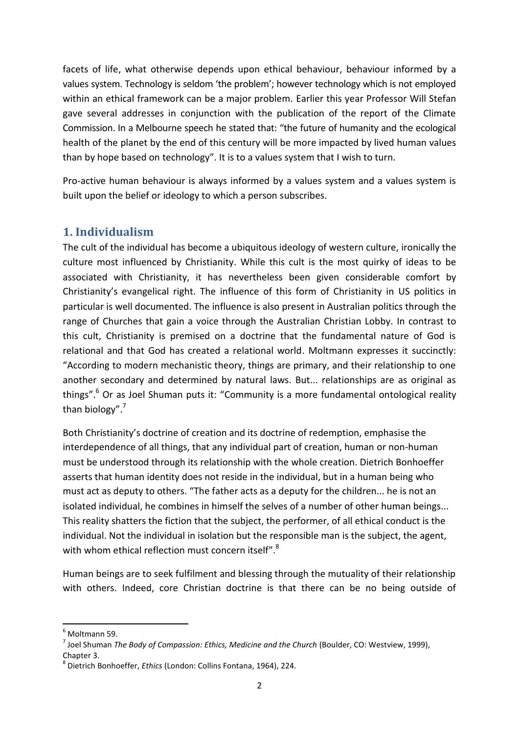facets of life, what otherwise depends upon ethical behaviour, behaviour informed by a values system. Technology is seldom 'the problem'; however technology which is not employed within an ethical framework can be a major problem. Earlier this year Professor Will Stefan gave several addresses in conjunction with the publication of the report of the Climate Commission. In a Melbourne speech he stated that: "the future of humanity and the ecological health of the planet by the end of this century will be more impacted by lived human values than by hope based on technology". It is to a values system that I wish to turn.

Pro-active human behaviour is always informed by a values system and a values system is built upon the belief or ideology to which a person subscribes.

## **1. Individualism**

The cult of the individual has become a ubiquitous ideology of western culture, ironically the culture most influenced by Christianity. While this cult is the most quirky of ideas to be associated with Christianity, it has nevertheless been given considerable comfort by Christianity's evangelical right. The influence of this form of Christianity in US politics in particular is well documented. The influence is also present in Australian politics through the range of Churches that gain a voice through the Australian Christian Lobby. In contrast to this cult, Christianity is premised on a doctrine that the fundamental nature of God is relational and that God has created a relational world. Moltmann expresses it succinctly: "According to modern mechanistic theory, things are primary, and their relationship to one another secondary and determined by natural laws. But... relationships are as original as things".<sup>6</sup> Or as Joel Shuman puts it: "Community is a more fundamental ontological reality than biology". 7

Both Christianity's doctrine of creation and its doctrine of redemption, emphasise the interdependence of all things, that any individual part of creation, human or non-human must be understood through its relationship with the whole creation. Dietrich Bonhoeffer asserts that human identity does not reside in the individual, but in a human being who must act as deputy to others. "The father acts as a deputy for the children... he is not an isolated individual, he combines in himself the selves of a number of other human beings... This reality shatters the fiction that the subject, the performer, of all ethical conduct is the individual. Not the individual in isolation but the responsible man is the subject, the agent, with whom ethical reflection must concern itself".<sup>8</sup>

Human beings are to seek fulfilment and blessing through the mutuality of their relationship with others. Indeed, core Christian doctrine is that there can be no being outside of

**.** 

Moltmann 59.

<sup>7</sup> Joel Shuman *The Body of Compassion: Ethics, Medicine and the Church* (Boulder, CO: Westview, 1999), Chapter 3.

<sup>8</sup> Dietrich Bonhoeffer, *Ethics* (London: Collins Fontana, 1964), 224.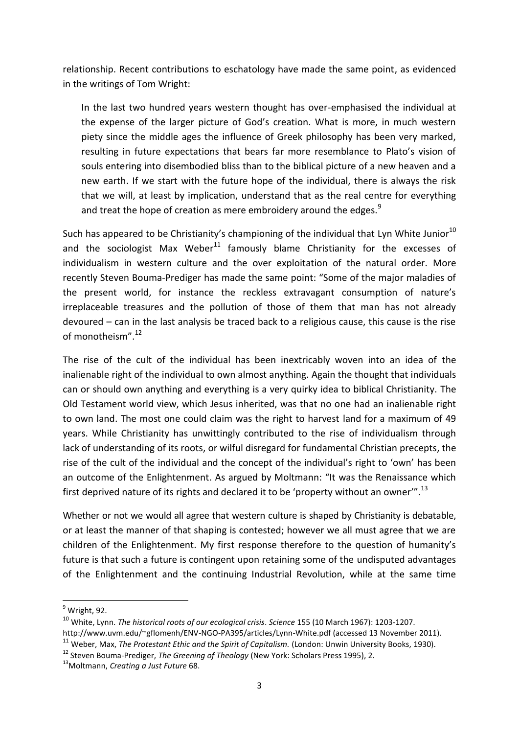relationship. Recent contributions to eschatology have made the same point, as evidenced in the writings of Tom Wright:

In the last two hundred years western thought has over-emphasised the individual at the expense of the larger picture of God's creation. What is more, in much western piety since the middle ages the influence of Greek philosophy has been very marked, resulting in future expectations that bears far more resemblance to Plato's vision of souls entering into disembodied bliss than to the biblical picture of a new heaven and a new earth. If we start with the future hope of the individual, there is always the risk that we will, at least by implication, understand that as the real centre for everything and treat the hope of creation as mere embroidery around the edges.<sup>9</sup>

Such has appeared to be Christianity's championing of the individual that Lyn White Junior<sup>10</sup> and the sociologist Max Weber<sup>11</sup> famously blame Christianity for the excesses of individualism in western culture and the over exploitation of the natural order. More recently Steven Bouma-Prediger has made the same point: "Some of the major maladies of the present world, for instance the reckless extravagant consumption of nature's irreplaceable treasures and the pollution of those of them that man has not already devoured – can in the last analysis be traced back to a religious cause, this cause is the rise of monotheism".<sup>12</sup>

The rise of the cult of the individual has been inextricably woven into an idea of the inalienable right of the individual to own almost anything. Again the thought that individuals can or should own anything and everything is a very quirky idea to biblical Christianity. The Old Testament world view, which Jesus inherited, was that no one had an inalienable right to own land. The most one could claim was the right to harvest land for a maximum of 49 years. While Christianity has unwittingly contributed to the rise of individualism through lack of understanding of its roots, or wilful disregard for fundamental Christian precepts, the rise of the cult of the individual and the concept of the individual's right to 'own' has been an outcome of the Enlightenment. As argued by Moltmann: "It was the Renaissance which first deprived nature of its rights and declared it to be 'property without an owner"<sup>13</sup>

Whether or not we would all agree that western culture is shaped by Christianity is debatable, or at least the manner of that shaping is contested; however we all must agree that we are children of the Enlightenment. My first response therefore to the question of humanity's future is that such a future is contingent upon retaining some of the undisputed advantages of the Enlightenment and the continuing Industrial Revolution, while at the same time

1

 $<sup>9</sup>$  Wright, 92.</sup>

<sup>10</sup> White, Lynn. *The historical roots of our ecological crisis*. *Science* 155 (10 March 1967): 1203-1207.

http://www.uvm.edu/~gflomenh/ENV-NGO-PA395/articles/Lynn-White.pdf (accessed 13 November 2011).

<sup>&</sup>lt;sup>11</sup> Weber, Max, *The Protestant Ethic and the Spirit of Capitalism.* (London: Unwin University Books, 1930).

<sup>12</sup> Steven Bouma-Prediger, *The Greening of Theology* (New York: Scholars Press 1995), 2.

<sup>13</sup>Moltmann, *Creating a Just Future* 68.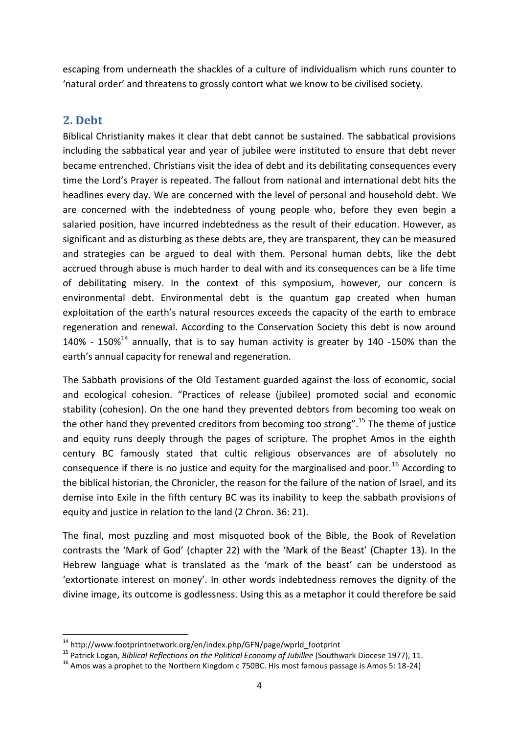escaping from underneath the shackles of a culture of individualism which runs counter to 'natural order' and threatens to grossly contort what we know to be civilised society.

## **2. Debt**

**.** 

Biblical Christianity makes it clear that debt cannot be sustained. The sabbatical provisions including the sabbatical year and year of jubilee were instituted to ensure that debt never became entrenched. Christians visit the idea of debt and its debilitating consequences every time the Lord's Prayer is repeated. The fallout from national and international debt hits the headlines every day. We are concerned with the level of personal and household debt. We are concerned with the indebtedness of young people who, before they even begin a salaried position, have incurred indebtedness as the result of their education. However, as significant and as disturbing as these debts are, they are transparent, they can be measured and strategies can be argued to deal with them. Personal human debts, like the debt accrued through abuse is much harder to deal with and its consequences can be a life time of debilitating misery. In the context of this symposium, however, our concern is environmental debt. Environmental debt is the quantum gap created when human exploitation of the earth's natural resources exceeds the capacity of the earth to embrace regeneration and renewal. According to the Conservation Society this debt is now around 140% - 150% $^{14}$  annually, that is to say human activity is greater by 140 -150% than the earth's annual capacity for renewal and regeneration.

The Sabbath provisions of the Old Testament guarded against the loss of economic, social and ecological cohesion. "Practices of release (jubilee) promoted social and economic stability (cohesion). On the one hand they prevented debtors from becoming too weak on the other hand they prevented creditors from becoming too strong".<sup>15</sup> The theme of justice and equity runs deeply through the pages of scripture. The prophet Amos in the eighth century BC famously stated that cultic religious observances are of absolutely no consequence if there is no justice and equity for the marginalised and poor.<sup>16</sup> According to the biblical historian, the Chronicler, the reason for the failure of the nation of Israel, and its demise into Exile in the fifth century BC was its inability to keep the sabbath provisions of equity and justice in relation to the land (2 Chron. 36: 21).

The final, most puzzling and most misquoted book of the Bible, the Book of Revelation contrasts the 'Mark of God' (chapter 22) with the 'Mark of the Beast' (Chapter 13). In the Hebrew language what is translated as the 'mark of the beast' can be understood as 'extortionate interest on money'. In other words indebtedness removes the dignity of the divine image, its outcome is godlessness. Using this as a metaphor it could therefore be said

<sup>&</sup>lt;sup>14</sup> http://www.footprintnetwork.org/en/index.php/GFN/page/wprld\_footprint

<sup>15</sup> Patrick Logan*, Biblical Reflections on the Political Economy of Jubillee* (Southwark Diocese 1977), 11.

 $16$  Amos was a prophet to the Northern Kingdom c 750BC. His most famous passage is Amos 5: 18-24)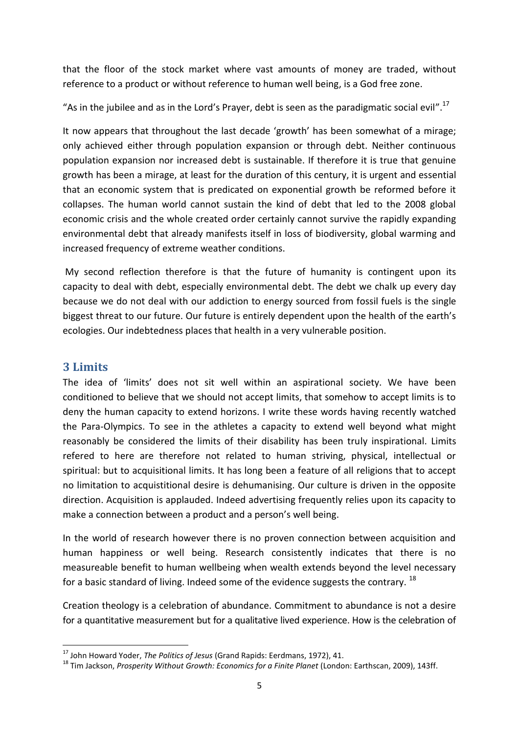that the floor of the stock market where vast amounts of money are traded, without reference to a product or without reference to human well being, is a God free zone.

"As in the jubilee and as in the Lord's Prayer, debt is seen as the paradigmatic social evil".<sup>17</sup>

It now appears that throughout the last decade 'growth' has been somewhat of a mirage; only achieved either through population expansion or through debt. Neither continuous population expansion nor increased debt is sustainable. If therefore it is true that genuine growth has been a mirage, at least for the duration of this century, it is urgent and essential that an economic system that is predicated on exponential growth be reformed before it collapses. The human world cannot sustain the kind of debt that led to the 2008 global economic crisis and the whole created order certainly cannot survive the rapidly expanding environmental debt that already manifests itself in loss of biodiversity, global warming and increased frequency of extreme weather conditions.

My second reflection therefore is that the future of humanity is contingent upon its capacity to deal with debt, especially environmental debt. The debt we chalk up every day because we do not deal with our addiction to energy sourced from fossil fuels is the single biggest threat to our future. Our future is entirely dependent upon the health of the earth's ecologies. Our indebtedness places that health in a very vulnerable position.

## **3 Limits**

**.** 

The idea of 'limits' does not sit well within an aspirational society. We have been conditioned to believe that we should not accept limits, that somehow to accept limits is to deny the human capacity to extend horizons. I write these words having recently watched the Para-Olympics. To see in the athletes a capacity to extend well beyond what might reasonably be considered the limits of their disability has been truly inspirational. Limits refered to here are therefore not related to human striving, physical, intellectual or spiritual: but to acquisitional limits. It has long been a feature of all religions that to accept no limitation to acquistitional desire is dehumanising. Our culture is driven in the opposite direction. Acquisition is applauded. Indeed advertising frequently relies upon its capacity to make a connection between a product and a person's well being.

In the world of research however there is no proven connection between acquisition and human happiness or well being. Research consistently indicates that there is no measureable benefit to human wellbeing when wealth extends beyond the level necessary for a basic standard of living. Indeed some of the evidence suggests the contrary. <sup>18</sup>

Creation theology is a celebration of abundance. Commitment to abundance is not a desire for a quantitative measurement but for a qualitative lived experience. How is the celebration of

<sup>17</sup> John Howard Yoder, *The Politics of Jesus* (Grand Rapids: Eerdmans, 1972), 41.

<sup>18</sup> Tim Jackson, *Prosperity Without Growth: Economics for a Finite Planet* (London: Earthscan, 2009), 143ff.